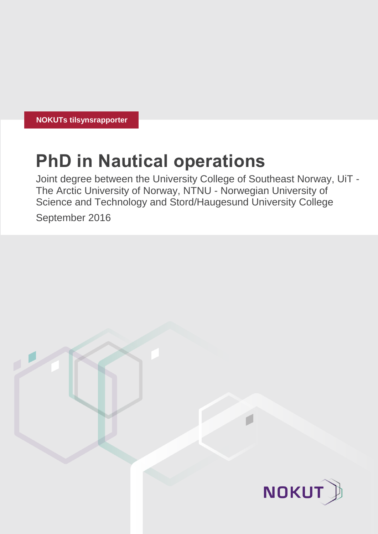**NOKUTs tilsynsrapporter**

# **PhD in Nautical operations**

Joint degree between the University College of Southeast Norway, UiT - The Arctic University of Norway, NTNU - Norwegian University of Science and Technology and Stord/Haugesund University College

September 2016

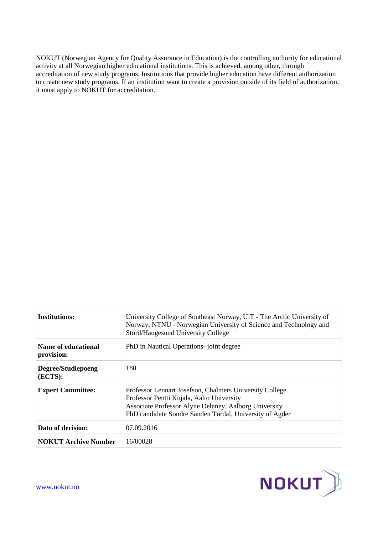NOKUT (Norwegian Agency for Quality Assurance in Education) is the controlling authority for educational activity at all Norwegian higher educational institutions. This is achieved, among other, through accreditation of new study programs. Institutions that provide higher education have different authorization to create new study programs. If an institution want to create a provision outside of its field of authorization, it must apply to NOKUT for accreditation.

| <b>Institutions:</b>              | University College of Southeast Norway, UiT - The Arctic University of<br>Norway, NTNU - Norwegian University of Science and Technology and<br>Stord/Haugesund University College                                        |
|-----------------------------------|--------------------------------------------------------------------------------------------------------------------------------------------------------------------------------------------------------------------------|
| Name of educational<br>provision: | PhD in Nautical Operations- joint degree                                                                                                                                                                                 |
| Degree/Studiepoeng<br>(ECTS):     | 180                                                                                                                                                                                                                      |
| <b>Expert Committee:</b>          | Professor Lennart Josefson, Chalmers University College<br>Professor Pentti Kujala, Aalto University<br>Associate Professor Alyne Delaney, Aalborg University<br>PhD candidate Sondre Sanden Tørdal, University of Agder |
| Dato of decision:                 | 07.09.2016                                                                                                                                                                                                               |
| <b>NOKUT Archive Number</b>       | 16/00028                                                                                                                                                                                                                 |

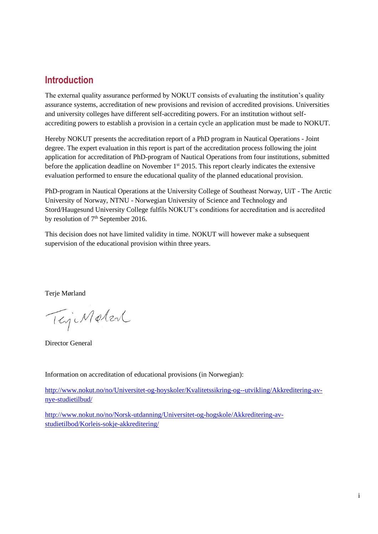# **Introduction**

The external quality assurance performed by NOKUT consists of evaluating the institution's quality assurance systems, accreditation of new provisions and revision of accredited provisions. Universities and university colleges have different self-accrediting powers. For an institution without selfaccrediting powers to establish a provision in a certain cycle an application must be made to NOKUT.

Hereby NOKUT presents the accreditation report of a PhD program in Nautical Operations - Joint degree. The expert evaluation in this report is part of the accreditation process following the joint application for accreditation of PhD-program of Nautical Operations from four institutions, submitted before the application deadline on November  $1<sup>st</sup>$  2015. This report clearly indicates the extensive evaluation performed to ensure the educational quality of the planned educational provision.

PhD-program in Nautical Operations at the University College of Southeast Norway, UiT - The Arctic University of Norway, NTNU - Norwegian University of Science and Technology and Stord/Haugesund University College fulfils NOKUT's conditions for accreditation and is accredited by resolution of  $7<sup>th</sup>$  September 2016.

This decision does not have limited validity in time. NOKUT will however make a subsequent supervision of the educational provision within three years.

Terje Mørland

TejeMatent

Director General

Information on accreditation of educational provisions (in Norwegian):

[http://www.nokut.no/no/Universitet-og-hoyskoler/Kvalitetssikring-og--utvikling/Akkreditering-av](http://www.nokut.no/no/Universitet-og-hoyskoler/Kvalitetssikring-og--utvikling/Akkreditering-av-nye-studietilbud/)[nye-studietilbud/](http://www.nokut.no/no/Universitet-og-hoyskoler/Kvalitetssikring-og--utvikling/Akkreditering-av-nye-studietilbud/)

[http://www.nokut.no/no/Norsk-utdanning/Universitet-og-hogskole/Akkreditering-av](http://www.nokut.no/no/Norsk-utdanning/Universitet-og-hogskole/Akkreditering-av-studietilbod/Korleis-sokje-akkreditering/)[studietilbod/Korleis-sokje-akkreditering/](http://www.nokut.no/no/Norsk-utdanning/Universitet-og-hogskole/Akkreditering-av-studietilbod/Korleis-sokje-akkreditering/)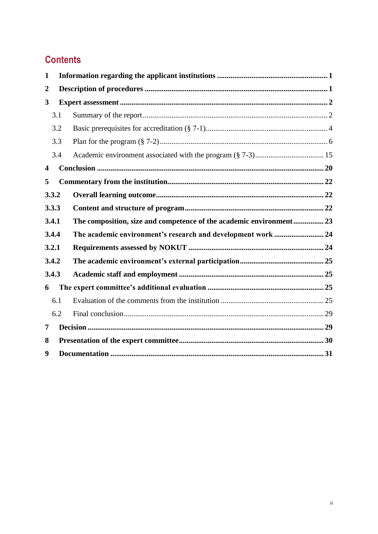# **Contents**

| $\mathbf{1}$            |     |                                                                     |  |  |  |
|-------------------------|-----|---------------------------------------------------------------------|--|--|--|
| 2                       |     |                                                                     |  |  |  |
| 3                       |     |                                                                     |  |  |  |
| 3.1                     |     |                                                                     |  |  |  |
| 3.2                     |     |                                                                     |  |  |  |
| 3.3                     |     |                                                                     |  |  |  |
|                         | 3.4 |                                                                     |  |  |  |
| $\overline{\mathbf{4}}$ |     |                                                                     |  |  |  |
| 5                       |     |                                                                     |  |  |  |
| 3.3.2                   |     |                                                                     |  |  |  |
| 3.3.3                   |     |                                                                     |  |  |  |
| 3.4.1                   |     | The composition, size and competence of the academic environment 23 |  |  |  |
| 3.4.4                   |     |                                                                     |  |  |  |
| 3.2.1                   |     |                                                                     |  |  |  |
| 3.4.2                   |     |                                                                     |  |  |  |
| 3.4.3                   |     |                                                                     |  |  |  |
| 6                       |     |                                                                     |  |  |  |
|                         | 6.1 |                                                                     |  |  |  |
|                         | 6.2 |                                                                     |  |  |  |
| 7                       |     |                                                                     |  |  |  |
| 8                       |     |                                                                     |  |  |  |
| 9                       |     |                                                                     |  |  |  |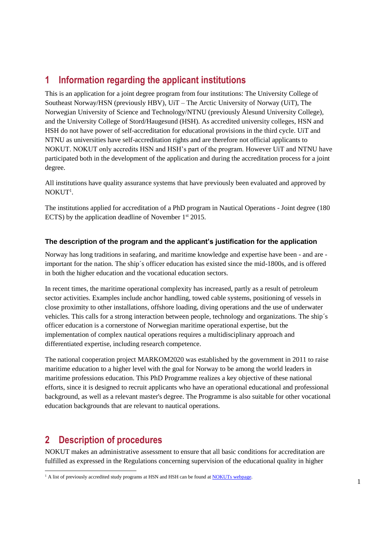# <span id="page-4-0"></span>**1 Information regarding the applicant institutions**

This is an application for a joint degree program from four institutions: The University College of Southeast Norway/HSN (previously HBV), UiT – The Arctic University of Norway (UiT), The Norwegian University of Science and Technology/NTNU (previously Ålesund University College), and the University College of Stord/Haugesund (HSH). As accredited university colleges, HSN and HSH do not have power of self-accreditation for educational provisions in the third cycle. UiT and NTNU as universities have self-accreditation rights and are therefore not official applicants to NOKUT. NOKUT only accredits HSN and HSH's part of the program. However UiT and NTNU have participated both in the development of the application and during the accreditation process for a joint degree.

All institutions have quality assurance systems that have previously been evaluated and approved by  $NOKUT^1$ .

The institutions applied for accreditation of a PhD program in Nautical Operations - Joint degree (180 ECTS) by the application deadline of November  $1<sup>st</sup> 2015$ .

### **The description of the program and the applicant's justification for the application**

Norway has long traditions in seafaring, and maritime knowledge and expertise have been - and are important for the nation. The ship´s officer education has existed since the mid-1800s, and is offered in both the higher education and the vocational education sectors.

In recent times, the maritime operational complexity has increased, partly as a result of petroleum sector activities. Examples include anchor handling, towed cable systems, positioning of vessels in close proximity to other installations, offshore loading, diving operations and the use of underwater vehicles. This calls for a strong interaction between people, technology and organizations. The ship´s officer education is a cornerstone of Norwegian maritime operational expertise, but the implementation of complex nautical operations requires a multidisciplinary approach and differentiated expertise, including research competence.

The national cooperation project MARKOM2020 was established by the government in 2011 to raise maritime education to a higher level with the goal for Norway to be among the world leaders in maritime professions education. This PhD Programme realizes a key objective of these national efforts, since it is designed to recruit applicants who have an operational educational and professional background, as well as a relevant master's degree. The Programme is also suitable for other vocational education backgrounds that are relevant to nautical operations.

# <span id="page-4-1"></span>**2 Description of procedures**

l

NOKUT makes an administrative assessment to ensure that all basic conditions for accreditation are fulfilled as expressed in the Regulations concerning supervision of the educational quality in higher

 $<sup>1</sup>$  A list of previously accredited study programs at HSN and HSH can be found at NOKUTs webpage.</sup>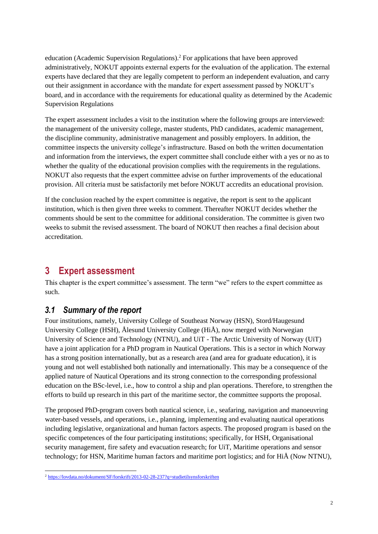education (Academic Supervision Regulations). <sup>2</sup> For applications that have been approved administratively, NOKUT appoints external experts for the evaluation of the application. The external experts have declared that they are legally competent to perform an independent evaluation, and carry out their assignment in accordance with the mandate for expert assessment passed by NOKUT's board, and in accordance with the requirements for educational quality as determined by the Academic Supervision Regulations

The expert assessment includes a visit to the institution where the following groups are interviewed: the management of the university college, master students, PhD candidates, academic management, the discipline community, administrative management and possibly employers. In addition, the committee inspects the university college's infrastructure. Based on both the written documentation and information from the interviews, the expert committee shall conclude either with a yes or no as to whether the quality of the educational provision complies with the requirements in the regulations. NOKUT also requests that the expert committee advise on further improvements of the educational provision. All criteria must be satisfactorily met before NOKUT accredits an educational provision.

If the conclusion reached by the expert committee is negative, the report is sent to the applicant institution, which is then given three weeks to comment. Thereafter NOKUT decides whether the comments should be sent to the committee for additional consideration. The committee is given two weeks to submit the revised assessment. The board of NOKUT then reaches a final decision about accreditation.

# <span id="page-5-0"></span>**3 Expert assessment**

This chapter is the expert committee's assessment. The term "we" refers to the expert committee as such.

### <span id="page-5-1"></span>*3.1 Summary of the report*

Four institutions, namely, University College of Southeast Norway (HSN), Stord/Haugesund University College (HSH), Ålesund University College (HiÅ), now merged with Norwegian University of Science and Technology (NTNU), and UiT - The Arctic University of Norway (UiT) have a joint application for a PhD program in Nautical Operations. This is a sector in which Norway has a strong position internationally, but as a research area (and area for graduate education), it is young and not well established both nationally and internationally. This may be a consequence of the applied nature of Nautical Operations and its strong connection to the corresponding professional education on the BSc-level, i.e., how to control a ship and plan operations. Therefore, to strengthen the efforts to build up research in this part of the maritime sector, the committee supports the proposal.

The proposed PhD-program covers both nautical science, i.e., seafaring, navigation and manoeuvring water-based vessels, and operations, i.e., planning, implementing and evaluating nautical operations including legislative, organizational and human factors aspects. The proposed program is based on the specific competences of the four participating institutions; specifically, for HSH, Organisational security management, fire safety and evacuation research; for UiT, Maritime operations and sensor technology; for HSN, Maritime human factors and maritime port logistics; and for HiÅ (Now NTNU),

l <sup>2</sup> <https://lovdata.no/dokument/SF/forskrift/2013-02-28-237?q=studietilsynsforskriften>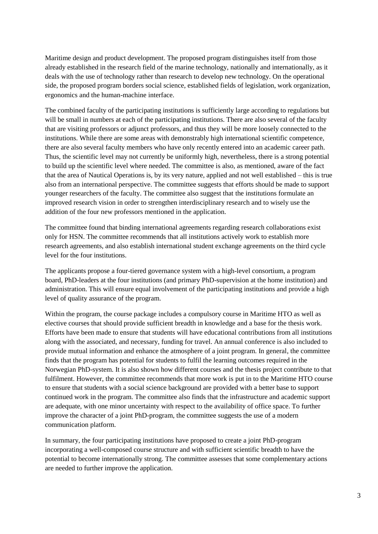Maritime design and product development. The proposed program distinguishes itself from those already established in the research field of the marine technology, nationally and internationally, as it deals with the use of technology rather than research to develop new technology. On the operational side, the proposed program borders social science, established fields of legislation, work organization, ergonomics and the human-machine interface.

The combined faculty of the participating institutions is sufficiently large according to regulations but will be small in numbers at each of the participating institutions. There are also several of the faculty that are visiting professors or adjunct professors, and thus they will be more loosely connected to the institutions. While there are some areas with demonstrably high international scientific competence, there are also several faculty members who have only recently entered into an academic career path. Thus, the scientific level may not currently be uniformly high, nevertheless, there is a strong potential to build up the scientific level where needed. The committee is also, as mentioned, aware of the fact that the area of Nautical Operations is, by its very nature, applied and not well established – this is true also from an international perspective. The committee suggests that efforts should be made to support younger researchers of the faculty. The committee also suggest that the institutions formulate an improved research vision in order to strengthen interdisciplinary research and to wisely use the addition of the four new professors mentioned in the application.

The committee found that binding international agreements regarding research collaborations exist only for HSN. The committee recommends that all institutions actively work to establish more research agreements, and also establish international student exchange agreements on the third cycle level for the four institutions.

The applicants propose a four-tiered governance system with a high-level consortium, a program board, PhD-leaders at the four institutions (and primary PhD-supervision at the home institution) and administration. This will ensure equal involvement of the participating institutions and provide a high level of quality assurance of the program.

Within the program, the course package includes a compulsory course in Maritime HTO as well as elective courses that should provide sufficient breadth in knowledge and a base for the thesis work. Efforts have been made to ensure that students will have educational contributions from all institutions along with the associated, and necessary, funding for travel. An annual conference is also included to provide mutual information and enhance the atmosphere of a joint program. In general, the committee finds that the program has potential for students to fulfil the learning outcomes required in the Norwegian PhD-system. It is also shown how different courses and the thesis project contribute to that fulfilment. However, the committee recommends that more work is put in to the Maritime HTO course to ensure that students with a social science background are provided with a better base to support continued work in the program. The committee also finds that the infrastructure and academic support are adequate, with one minor uncertainty with respect to the availability of office space. To further improve the character of a joint PhD-program, the committee suggests the use of a modern communication platform.

In summary, the four participating institutions have proposed to create a joint PhD-program incorporating a well-composed course structure and with sufficient scientific breadth to have the potential to become internationally strong. The committee assesses that some complementary actions are needed to further improve the application.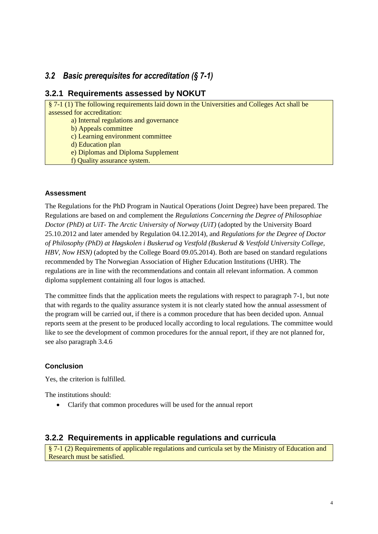### <span id="page-7-0"></span>*3.2 Basic prerequisites for accreditation (§ 7-1)*

### **3.2.1 Requirements assessed by NOKUT**

§ 7-1 (1) The following requirements laid down in the Universities and Colleges Act shall be assessed for accreditation:

a) Internal regulations and governance

b) Appeals committee

c) Learning environment committee

d) Education plan

e) Diplomas and Diploma Supplement

f) Quality assurance system.

### **Assessment**

The Regulations for the PhD Program in Nautical Operations (Joint Degree) have been prepared. The Regulations are based on and complement the *Regulations Concerning the Degree of Philosophiae Doctor (PhD) at UiT- The Arctic University of Norway (UiT)* (adopted by the University Board 25.10.2012 and later amended by Regulation 04.12.2014), and *Regulations for the Degree of Doctor of Philosophy (PhD) at Høgskolen i Buskerud og Vestfold (Buskerud & Vestfold University College, HBV, Now HSN)* (adopted by the College Board 09.05.2014). Both are based on standard regulations recommended by The Norwegian Association of Higher Education Institutions (UHR). The regulations are in line with the recommendations and contain all relevant information. A common diploma supplement containing all four logos is attached.

The committee finds that the application meets the regulations with respect to paragraph 7-1, but note that with regards to the quality assurance system it is not clearly stated how the annual assessment of the program will be carried out, if there is a common procedure that has been decided upon. Annual reports seem at the present to be produced locally according to local regulations. The committee would like to see the development of common procedures for the annual report, if they are not planned for, see also paragraph 3.4.6

### **Conclusion**

Yes, the criterion is fulfilled.

The institutions should:

Clarify that common procedures will be used for the annual report

### **3.2.2 Requirements in applicable regulations and curricula**

§ 7-1 (2) Requirements of applicable regulations and curricula set by the Ministry of Education and Research must be satisfied.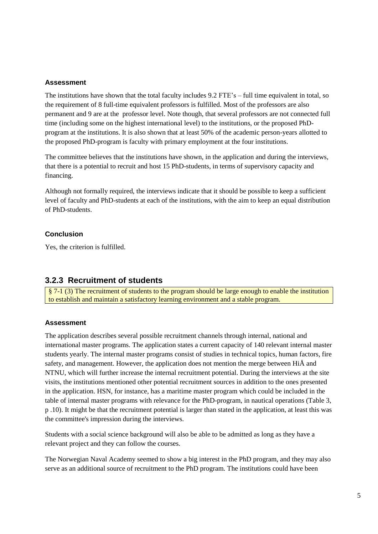### **Assessment**

The institutions have shown that the total faculty includes 9.2 FTE's – full time equivalent in total, so the requirement of 8 full-time equivalent professors is fulfilled. Most of the professors are also permanent and 9 are at the professor level. Note though, that several professors are not connected full time (including some on the highest international level) to the institutions, or the proposed PhDprogram at the institutions. It is also shown that at least 50% of the academic person-years allotted to the proposed PhD-program is faculty with primary employment at the four institutions.

The committee believes that the institutions have shown, in the application and during the interviews, that there is a potential to recruit and host 15 PhD-students, in terms of supervisory capacity and financing.

Although not formally required, the interviews indicate that it should be possible to keep a sufficient level of faculty and PhD-students at each of the institutions, with the aim to keep an equal distribution of PhD-students.

### **Conclusion**

Yes, the criterion is fulfilled.

### **3.2.3 Recruitment of students**

§ 7-1 (3) The recruitment of students to the program should be large enough to enable the institution to establish and maintain a satisfactory learning environment and a stable program.

### **Assessment**

The application describes several possible recruitment channels through internal, national and international master programs. The application states a current capacity of 140 relevant internal master students yearly. The internal master programs consist of studies in technical topics, human factors, fire safety, and management. However, the application does not mention the merge between HiÅ and NTNU, which will further increase the internal recruitment potential. During the interviews at the site visits, the institutions mentioned other potential recruitment sources in addition to the ones presented in the application. HSN, for instance, has a maritime master program which could be included in the table of internal master programs with relevance for the PhD-program, in nautical operations (Table 3, p .10). It might be that the recruitment potential is larger than stated in the application, at least this was the committee's impression during the interviews.

Students with a social science background will also be able to be admitted as long as they have a relevant project and they can follow the courses.

The Norwegian Naval Academy seemed to show a big interest in the PhD program, and they may also serve as an additional source of recruitment to the PhD program. The institutions could have been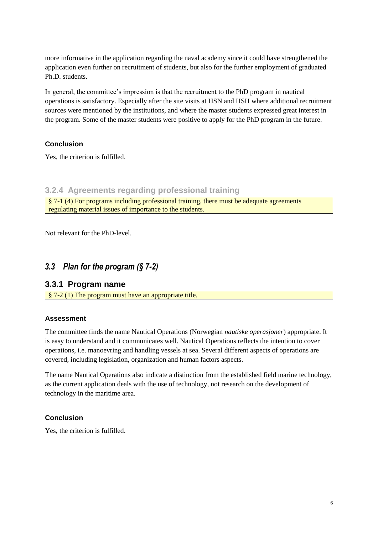more informative in the application regarding the naval academy since it could have strengthened the application even further on recruitment of students, but also for the further employment of graduated Ph.D. students.

In general, the committee's impression is that the recruitment to the PhD program in nautical operations is satisfactory. Especially after the site visits at HSN and HSH where additional recruitment sources were mentioned by the institutions, and where the master students expressed great interest in the program. Some of the master students were positive to apply for the PhD program in the future.

### **Conclusion**

Yes, the criterion is fulfilled.

### **3.2.4 Agreements regarding professional training**

§ 7-1 (4) For programs including professional training, there must be adequate agreements regulating material issues of importance to the students.

Not relevant for the PhD-level.

### <span id="page-9-0"></span>*3.3 Plan for the program (§ 7-2)*

### **3.3.1 Program name**

§ 7-2 (1) The program must have an appropriate title.

### **Assessment**

The committee finds the name Nautical Operations (Norwegian *nautiske operasjoner*) appropriate. It is easy to understand and it communicates well. Nautical Operations reflects the intention to cover operations, i.e. manoevring and handling vessels at sea. Several different aspects of operations are covered, including legislation, organization and human factors aspects.

The name Nautical Operations also indicate a distinction from the established field marine technology, as the current application deals with the use of technology, not research on the development of technology in the maritime area.

### **Conclusion**

Yes, the criterion is fulfilled.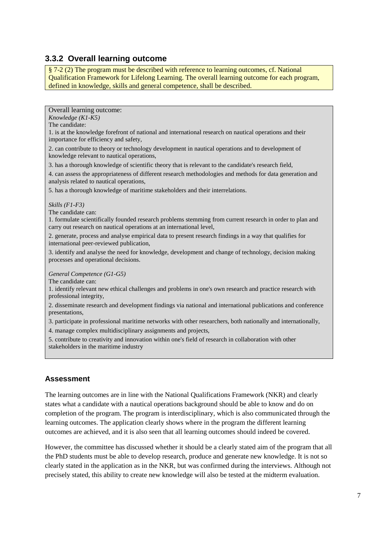### **3.3.2 Overall learning outcome**

§ 7-2 (2) The program must be described with reference to learning outcomes, cf. National Qualification Framework for Lifelong Learning. The overall learning outcome for each program, defined in knowledge, skills and general competence, shall be described.

Overall learning outcome:

*Knowledge (K1-K5)* 

The candidate:

1. is at the knowledge forefront of national and international research on nautical operations and their importance for efficiency and safety,

2. can contribute to theory or technology development in nautical operations and to development of knowledge relevant to nautical operations,

3. has a thorough knowledge of scientific theory that is relevant to the candidate's research field,

4. can assess the appropriateness of different research methodologies and methods for data generation and analysis related to nautical operations,

5. has a thorough knowledge of maritime stakeholders and their interrelations.

#### *Skills (F1-F3)*

The candidate can:

1. formulate scientifically founded research problems stemming from current research in order to plan and carry out research on nautical operations at an international level,

2. generate, process and analyse empirical data to present research findings in a way that qualifies for international peer-reviewed publication,

3. identify and analyse the need for knowledge, development and change of technology, decision making processes and operational decisions.

#### *General Competence (G1-G5)*

The candidate can:

1. identify relevant new ethical challenges and problems in one's own research and practice research with professional integrity,

2. disseminate research and development findings via national and international publications and conference presentations,

3. participate in professional maritime networks with other researchers, both nationally and internationally,

4. manage complex multidisciplinary assignments and projects,

5. contribute to creativity and innovation within one's field of research in collaboration with other stakeholders in the maritime industry

### **Assessment**

The learning outcomes are in line with the National Qualifications Framework (NKR) and clearly states what a candidate with a nautical operations background should be able to know and do on completion of the program. The program is interdisciplinary, which is also communicated through the learning outcomes. The application clearly shows where in the program the different learning outcomes are achieved, and it is also seen that all learning outcomes should indeed be covered.

However, the committee has discussed whether it should be a clearly stated aim of the program that all the PhD students must be able to develop research, produce and generate new knowledge. It is not so clearly stated in the application as in the NKR, but was confirmed during the interviews. Although not precisely stated, this ability to create new knowledge will also be tested at the midterm evaluation.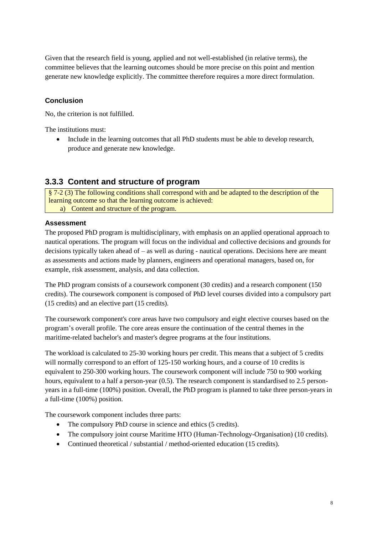Given that the research field is young, applied and not well-established (in relative terms), the committee believes that the learning outcomes should be more precise on this point and mention generate new knowledge explicitly. The committee therefore requires a more direct formulation.

### **Conclusion**

No, the criterion is not fulfilled.

The institutions must:

• Include in the learning outcomes that all PhD students must be able to develop research, produce and generate new knowledge.

### **3.3.3 Content and structure of program**

§ 7-2 (3) The following conditions shall correspond with and be adapted to the description of the learning outcome so that the learning outcome is achieved: a) Content and structure of the program.

### **Assessment**

The proposed PhD program is multidisciplinary, with emphasis on an applied operational approach to nautical operations. The program will focus on the individual and collective decisions and grounds for decisions typically taken ahead of – as well as during - nautical operations. Decisions here are meant as assessments and actions made by planners, engineers and operational managers, based on, for example, risk assessment, analysis, and data collection.

The PhD program consists of a coursework component (30 credits) and a research component (150 credits). The coursework component is composed of PhD level courses divided into a compulsory part (15 credits) and an elective part (15 credits).

The coursework component's core areas have two compulsory and eight elective courses based on the program's overall profile. The core areas ensure the continuation of the central themes in the maritime-related bachelor's and master's degree programs at the four institutions.

The workload is calculated to 25-30 working hours per credit. This means that a subject of 5 credits will normally correspond to an effort of 125-150 working hours, and a course of 10 credits is equivalent to 250-300 working hours. The coursework component will include 750 to 900 working hours, equivalent to a half a person-year (0.5). The research component is standardised to 2.5 personyears in a full-time (100%) position. Overall, the PhD program is planned to take three person-years in a full-time (100%) position.

The coursework component includes three parts:

- The compulsory PhD course in science and ethics (5 credits).
- The compulsory joint course Maritime HTO (Human-Technology-Organisation) (10 credits).
- Continued theoretical / substantial / method-oriented education (15 credits).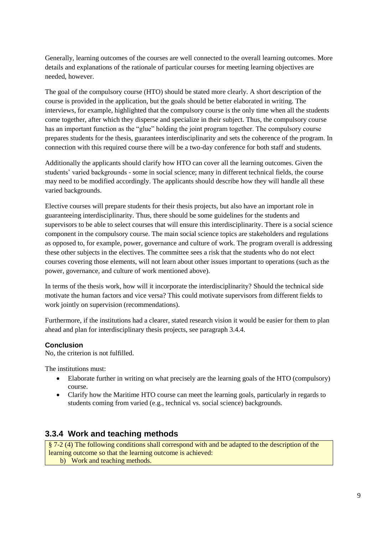Generally, learning outcomes of the courses are well connected to the overall learning outcomes. More details and explanations of the rationale of particular courses for meeting learning objectives are needed, however.

The goal of the compulsory course (HTO) should be stated more clearly. A short description of the course is provided in the application, but the goals should be better elaborated in writing. The interviews, for example, highlighted that the compulsory course is the only time when all the students come together, after which they disperse and specialize in their subject. Thus, the compulsory course has an important function as the "glue" holding the joint program together. The compulsory course prepares students for the thesis, guarantees interdisciplinarity and sets the coherence of the program. In connection with this required course there will be a two-day conference for both staff and students.

Additionally the applicants should clarify how HTO can cover all the learning outcomes. Given the students' varied backgrounds - some in social science; many in different technical fields, the course may need to be modified accordingly. The applicants should describe how they will handle all these varied backgrounds.

Elective courses will prepare students for their thesis projects, but also have an important role in guaranteeing interdisciplinarity. Thus, there should be some guidelines for the students and supervisors to be able to select courses that will ensure this interdisciplinarity. There is a social science component in the compulsory course. The main social science topics are stakeholders and regulations as opposed to, for example, power, governance and culture of work. The program overall is addressing these other subjects in the electives. The committee sees a risk that the students who do not elect courses covering those elements, will not learn about other issues important to operations (such as the power, governance, and culture of work mentioned above).

In terms of the thesis work, how will it incorporate the interdisciplinarity? Should the technical side motivate the human factors and vice versa? This could motivate supervisors from different fields to work jointly on supervision (recommendations).

Furthermore, if the institutions had a clearer, stated research vision it would be easier for them to plan ahead and plan for interdisciplinary thesis projects, see paragraph 3.4.4.

### **Conclusion**

No, the criterion is not fulfilled.

The institutions must:

- Elaborate further in writing on what precisely are the learning goals of the HTO (compulsory) course.
- Clarify how the Maritime HTO course can meet the learning goals, particularly in regards to students coming from varied (e.g., technical vs. social science) backgrounds.

### **3.3.4 Work and teaching methods**

§ 7-2 (4) The following conditions shall correspond with and be adapted to the description of the learning outcome so that the learning outcome is achieved: b) Work and teaching methods.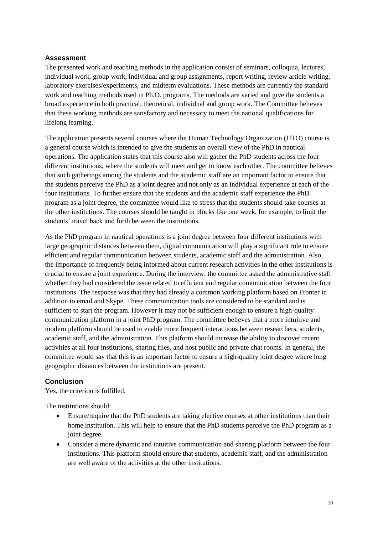### **Assessment**

The presented work and teaching methods in the application consist of seminars, colloquia, lectures, individual work, group work, individual and group assignments, report writing, review article writing, laboratory exercises/experiments, and midterm evaluations. These methods are currently the standard work and teaching methods used in Ph.D. programs. The methods are varied and give the students a broad experience in both practical, theoretical, individual and group work. The Committee believes that these working methods are satisfactory and necessary to meet the national qualifications for lifelong learning.

The application presents several courses where the Human Technology Organization (HTO) course is a general course which is intended to give the students an overall view of the PhD in nautical operations. The application states that this course also will gather the PhD students across the four different institutions, where the students will meet and get to know each other. The committee believes that such gatherings among the students and the academic staff are an important factor to ensure that the students perceive the PhD as a joint degree and not only as an individual experience at each of the four institutions. To further ensure that the students and the academic staff experience the PhD program as a joint degree, the committee would like to stress that the students should take courses at the other institutions. The courses should be taught in blocks like one week, for example, to limit the students' travel back and forth between the institutions.

As the PhD program in nautical operations is a joint degree between four different institutions with large geographic distances between them, digital communication will play a significant role to ensure efficient and regular communication between students, academic staff and the administration. Also, the importance of frequently being informed about current research activities in the other institutions is crucial to ensure a joint experience. During the interview, the committee asked the administrative staff whether they had considered the issue related to efficient and regular communication between the four institutions. The response was that they had already a common working platform based on Fronter in addition to email and Skype. These communication tools are considered to be standard and is sufficient to start the program. However it may not be sufficient enough to ensure a high-quality communication platform in a joint PhD program. The committee believes that a more intuitive and modern platform should be used to enable more frequent interactions between researchers, students, academic staff, and the administration. This platform should increase the ability to discover recent activities at all four institutions, sharing files, and host public and private chat rooms. In general, the committee would say that this is an important factor to ensure a high-quality joint degree where long geographic distances between the institutions are present.

### **Conclusion**

Yes, the criterion is fulfilled.

The institutions should:

- Ensure/require that the PhD students are taking elective courses at other institutions than their home institution. This will help to ensure that the PhD students perceive the PhD program as a joint degree.
- Consider a more dynamic and intuitive communication and sharing platform between the four institutions. This platform should ensure that students, academic staff, and the administration are well aware of the activities at the other institutions.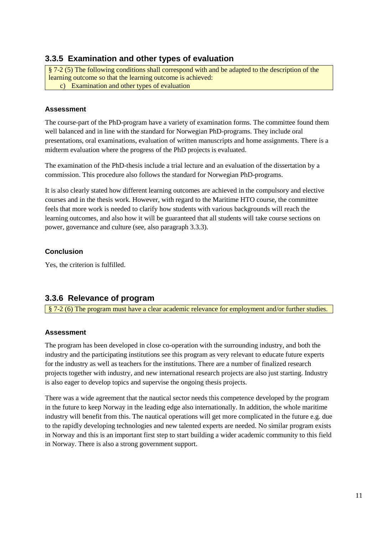### **3.3.5 Examination and other types of evaluation**

§ 7-2 (5) The following conditions shall correspond with and be adapted to the description of the learning outcome so that the learning outcome is achieved:

c) Examination and other types of evaluation

### **Assessment**

The course-part of the PhD-program have a variety of examination forms. The committee found them well balanced and in line with the standard for Norwegian PhD-programs. They include oral presentations, oral examinations, evaluation of written manuscripts and home assignments. There is a midterm evaluation where the progress of the PhD projects is evaluated.

The examination of the PhD-thesis include a trial lecture and an evaluation of the dissertation by a commission. This procedure also follows the standard for Norwegian PhD-programs.

It is also clearly stated how different learning outcomes are achieved in the compulsory and elective courses and in the thesis work. However, with regard to the Maritime HTO course, the committee feels that more work is needed to clarify how students with various backgrounds will reach the learning outcomes, and also how it will be guaranteed that all students will take course sections on power, governance and culture (see, also paragraph 3.3.3).

### **Conclusion**

Yes, the criterion is fulfilled.

### **3.3.6 Relevance of program**

§ 7-2 (6) The program must have a clear academic relevance for employment and/or further studies.

### **Assessment**

The program has been developed in close co-operation with the surrounding industry, and both the industry and the participating institutions see this program as very relevant to educate future experts for the industry as well as teachers for the institutions. There are a number of finalized research projects together with industry, and new international research projects are also just starting. Industry is also eager to develop topics and supervise the ongoing thesis projects.

There was a wide agreement that the nautical sector needs this competence developed by the program in the future to keep Norway in the leading edge also internationally. In addition, the whole maritime industry will benefit from this. The nautical operations will get more complicated in the future e.g. due to the rapidly developing technologies and new talented experts are needed. No similar program exists in Norway and this is an important first step to start building a wider academic community to this field in Norway. There is also a strong government support.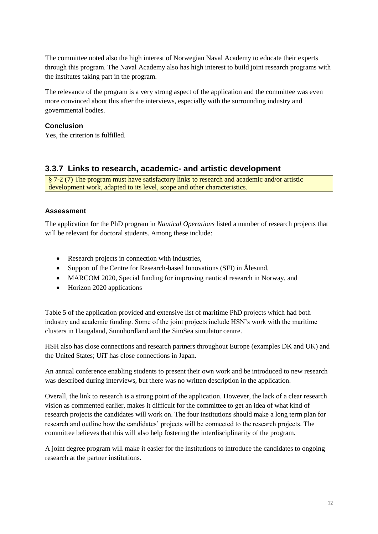The committee noted also the high interest of Norwegian Naval Academy to educate their experts through this program. The Naval Academy also has high interest to build joint research programs with the institutes taking part in the program.

The relevance of the program is a very strong aspect of the application and the committee was even more convinced about this after the interviews, especially with the surrounding industry and governmental bodies.

### **Conclusion**

Yes, the criterion is fulfilled.

### **3.3.7 Links to research, academic- and artistic development**

§ 7-2 (7) The program must have satisfactory links to research and academic and/or artistic development work, adapted to its level, scope and other characteristics.

### **Assessment**

The application for the PhD program in *Nautical Operations* listed a number of research projects that will be relevant for doctoral students. Among these include:

- Research projects in connection with industries,
- Support of the Centre for Research-based Innovations (SFI) in Ålesund,
- MARCOM 2020, Special funding for improving nautical research in Norway, and
- Horizon 2020 applications

Table 5 of the application provided and extensive list of maritime PhD projects which had both industry and academic funding. Some of the joint projects include HSN's work with the maritime clusters in Haugaland, Sunnhordland and the SimSea simulator centre.

HSH also has close connections and research partners throughout Europe (examples DK and UK) and the United States; UiT has close connections in Japan.

An annual conference enabling students to present their own work and be introduced to new research was described during interviews, but there was no written description in the application.

Overall, the link to research is a strong point of the application. However, the lack of a clear research vision as commented earlier, makes it difficult for the committee to get an idea of what kind of research projects the candidates will work on. The four institutions should make a long term plan for research and outline how the candidates' projects will be connected to the research projects. The committee believes that this will also help fostering the interdisciplinarity of the program.

A joint degree program will make it easier for the institutions to introduce the candidates to ongoing research at the partner institutions.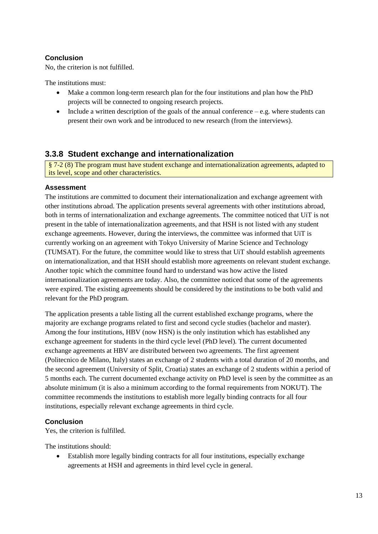### **Conclusion**

No, the criterion is not fulfilled.

The institutions must:

- Make a common long-term research plan for the four institutions and plan how the PhD projects will be connected to ongoing research projects.
- Include a written description of the goals of the annual conference  $-e.g.$  where students can present their own work and be introduced to new research (from the interviews).

### **3.3.8 Student exchange and internationalization**

§ 7-2 (8) The program must have student exchange and internationalization agreements, adapted to its level, scope and other characteristics.

### **Assessment**

The institutions are committed to document their internationalization and exchange agreement with other institutions abroad. The application presents several agreements with other institutions abroad, both in terms of internationalization and exchange agreements. The committee noticed that UiT is not present in the table of internationalization agreements, and that HSH is not listed with any student exchange agreements. However, during the interviews, the committee was informed that UiT is currently working on an agreement with Tokyo University of Marine Science and Technology (TUMSAT). For the future, the committee would like to stress that UiT should establish agreements on internationalization, and that HSH should establish more agreements on relevant student exchange. Another topic which the committee found hard to understand was how active the listed internationalization agreements are today. Also, the committee noticed that some of the agreements were expired. The existing agreements should be considered by the institutions to be both valid and relevant for the PhD program.

The application presents a table listing all the current established exchange programs, where the majority are exchange programs related to first and second cycle studies (bachelor and master). Among the four institutions, HBV (now HSN) is the only institution which has established any exchange agreement for students in the third cycle level (PhD level). The current documented exchange agreements at HBV are distributed between two agreements. The first agreement (Politecnico de Milano, Italy) states an exchange of 2 students with a total duration of 20 months, and the second agreement (University of Split, Croatia) states an exchange of 2 students within a period of 5 months each. The current documented exchange activity on PhD level is seen by the committee as an absolute minimum (it is also a minimum according to the formal requirements from NOKUT). The committee recommends the institutions to establish more legally binding contracts for all four institutions, especially relevant exchange agreements in third cycle.

### **Conclusion**

Yes, the criterion is fulfilled.

The institutions should:

 Establish more legally binding contracts for all four institutions, especially exchange agreements at HSH and agreements in third level cycle in general.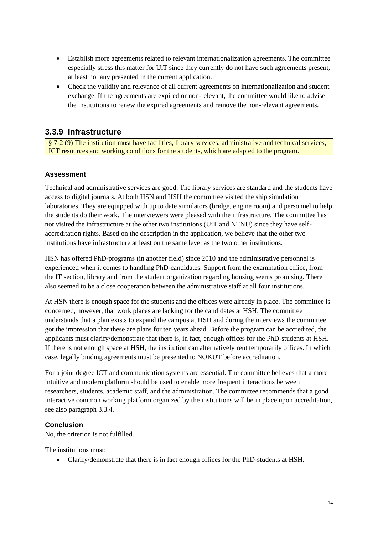- Establish more agreements related to relevant internationalization agreements. The committee especially stress this matter for UiT since they currently do not have such agreements present, at least not any presented in the current application.
- Check the validity and relevance of all current agreements on internationalization and student exchange. If the agreements are expired or non-relevant, the committee would like to advise the institutions to renew the expired agreements and remove the non-relevant agreements.

### **3.3.9 Infrastructure**

§ 7-2 (9) The institution must have facilities, library services, administrative and technical services, ICT resources and working conditions for the students, which are adapted to the program.

### **Assessment**

Technical and administrative services are good. The library services are standard and the students have access to digital journals. At both HSN and HSH the committee visited the ship simulation laboratories. They are equipped with up to date simulators (bridge, engine room) and personnel to help the students do their work. The interviewers were pleased with the infrastructure. The committee has not visited the infrastructure at the other two institutions (UiT and NTNU) since they have selfaccreditation rights. Based on the description in the application, we believe that the other two institutions have infrastructure at least on the same level as the two other institutions.

HSN has offered PhD-programs (in another field) since 2010 and the administrative personnel is experienced when it comes to handling PhD-candidates. Support from the examination office, from the IT section, library and from the student organization regarding housing seems promising. There also seemed to be a close cooperation between the administrative staff at all four institutions.

At HSN there is enough space for the students and the offices were already in place. The committee is concerned, however, that work places are lacking for the candidates at HSH. The committee understands that a plan exists to expand the campus at HSH and during the interviews the committee got the impression that these are plans for ten years ahead. Before the program can be accredited, the applicants must clarify/demonstrate that there is, in fact, enough offices for the PhD-students at HSH. If there is not enough space at HSH, the institution can alternatively rent temporarily offices. In which case, legally binding agreements must be presented to NOKUT before accreditation.

For a joint degree ICT and communication systems are essential. The committee believes that a more intuitive and modern platform should be used to enable more frequent interactions between researchers, students, academic staff, and the administration. The committee recommends that a good interactive common working platform organized by the institutions will be in place upon accreditation, see also paragraph 3.3.4.

#### **Conclusion**

No, the criterion is not fulfilled.

The institutions must:

Clarify/demonstrate that there is in fact enough offices for the PhD-students at HSH.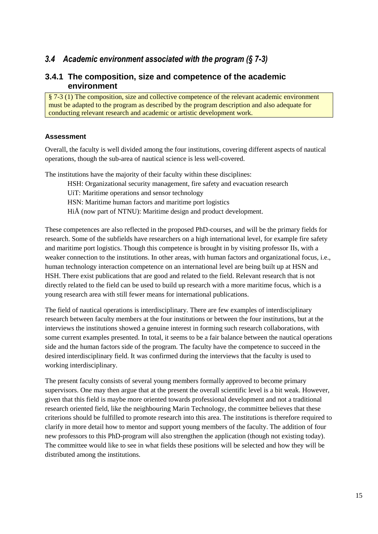### <span id="page-18-0"></span>*3.4 Academic environment associated with the program (§ 7-3)*

### **3.4.1 The composition, size and competence of the academic environment**

§ 7-3 (1) The composition, size and collective competence of the relevant academic environment must be adapted to the program as described by the program description and also adequate for conducting relevant research and academic or artistic development work.

### **Assessment**

Overall, the faculty is well divided among the four institutions, covering different aspects of nautical operations, though the sub-area of nautical science is less well-covered.

The institutions have the majority of their faculty within these disciplines:

HSH: Organizational security management, fire safety and evacuation research

UiT: Maritime operations and sensor technology

HSN: Maritime human factors and maritime port logistics

HiÅ (now part of NTNU): Maritime design and product development.

These competences are also reflected in the proposed PhD-courses, and will be the primary fields for research. Some of the subfields have researchers on a high international level, for example fire safety and maritime port logistics. Though this competence is brought in by visiting professor IIs, with a weaker connection to the institutions. In other areas, with human factors and organizational focus, i.e., human technology interaction competence on an international level are being built up at HSN and HSH. There exist publications that are good and related to the field. Relevant research that is not directly related to the field can be used to build up research with a more maritime focus, which is a young research area with still fewer means for international publications.

The field of nautical operations is interdisciplinary. There are few examples of interdisciplinary research between faculty members at the four institutions or between the four institutions, but at the interviews the institutions showed a genuine interest in forming such research collaborations, with some current examples presented. In total, it seems to be a fair balance between the nautical operations side and the human factors side of the program. The faculty have the competence to succeed in the desired interdisciplinary field. It was confirmed during the interviews that the faculty is used to working interdisciplinary.

The present faculty consists of several young members formally approved to become primary supervisors. One may then argue that at the present the overall scientific level is a bit weak. However, given that this field is maybe more oriented towards professional development and not a traditional research oriented field, like the neighbouring Marin Technology, the committee believes that these criterions should be fulfilled to promote research into this area. The institutions is therefore required to clarify in more detail how to mentor and support young members of the faculty. The addition of four new professors to this PhD-program will also strengthen the application (though not existing today). The committee would like to see in what fields these positions will be selected and how they will be distributed among the institutions.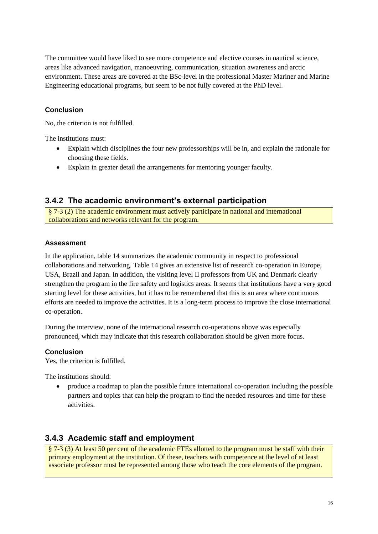The committee would have liked to see more competence and elective courses in nautical science, areas like advanced navigation, manoeuvring, communication, situation awareness and arctic environment. These areas are covered at the BSc-level in the professional Master Mariner and Marine Engineering educational programs, but seem to be not fully covered at the PhD level.

### **Conclusion**

No, the criterion is not fulfilled.

The institutions must:

- Explain which disciplines the four new professorships will be in, and explain the rationale for choosing these fields.
- Explain in greater detail the arrangements for mentoring younger faculty.

### **3.4.2 The academic environment's external participation**

§ 7-3 (2) The academic environment must actively participate in national and international collaborations and networks relevant for the program.

### **Assessment**

In the application, table 14 summarizes the academic community in respect to professional collaborations and networking. Table 14 gives an extensive list of research co-operation in Europe, USA, Brazil and Japan. In addition, the visiting level II professors from UK and Denmark clearly strengthen the program in the fire safety and logistics areas. It seems that institutions have a very good starting level for these activities, but it has to be remembered that this is an area where continuous efforts are needed to improve the activities. It is a long-term process to improve the close international co-operation.

During the interview, none of the international research co-operations above was especially pronounced, which may indicate that this research collaboration should be given more focus.

### **Conclusion**

Yes, the criterion is fulfilled.

The institutions should:

 produce a roadmap to plan the possible future international co-operation including the possible partners and topics that can help the program to find the needed resources and time for these activities.

### **3.4.3 Academic staff and employment**

§ 7-3 (3) At least 50 per cent of the academic FTEs allotted to the program must be staff with their primary employment at the institution. Of these, teachers with competence at the level of at least associate professor must be represented among those who teach the core elements of the program.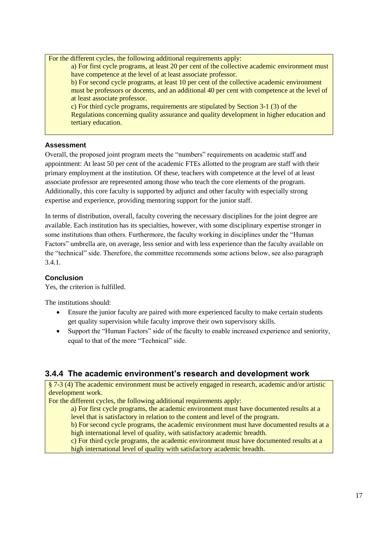For the different cycles, the following additional requirements apply: a) For first cycle programs, at least 20 per cent of the collective academic environment must have competence at the level of at least associate professor. b) For second cycle programs, at least 10 per cent of the collective academic environment must be professors or docents, and an additional 40 per cent with competence at the level of at least associate professor. c) For third cycle programs, requirements are stipulated by Section 3-1 (3) of the Regulations concerning quality assurance and quality development in higher education and tertiary education.

### **Assessment**

Overall, the proposed joint program meets the "numbers" requirements on academic staff and appointment: At least 50 per cent of the academic FTEs allotted to the program are staff with their primary employment at the institution. Of these, teachers with competence at the level of at least associate professor are represented among those who teach the core elements of the program. Additionally, this core faculty is supported by adjunct and other faculty with especially strong expertise and experience, providing mentoring support for the junior staff.

In terms of distribution, overall, faculty covering the necessary disciplines for the joint degree are available. Each institution has its specialties, however, with some disciplinary expertise stronger in some institutions than others. Furthermore, the faculty working in disciplines under the "Human Factors" umbrella are, on average, less senior and with less experience than the faculty available on the "technical" side. Therefore, the committee recommends some actions below, see also paragraph 3.4.1.

### **Conclusion**

Yes, the criterion is fulfilled.

The institutions should:

- Ensure the junior faculty are paired with more experienced faculty to make certain students get quality supervision while faculty improve their own supervisory skills.
- Support the "Human Factors" side of the faculty to enable increased experience and seniority, equal to that of the more "Technical" side.

### **3.4.4 The academic environment's research and development work**

§ 7-3 (4) The academic environment must be actively engaged in research, academic and/or artistic development work.

For the different cycles, the following additional requirements apply:

a) For first cycle programs, the academic environment must have documented results at a level that is satisfactory in relation to the content and level of the program.

b) For second cycle programs, the academic environment must have documented results at a high international level of quality, with satisfactory academic breadth.

c) For third cycle programs, the academic environment must have documented results at a high international level of quality with satisfactory academic breadth.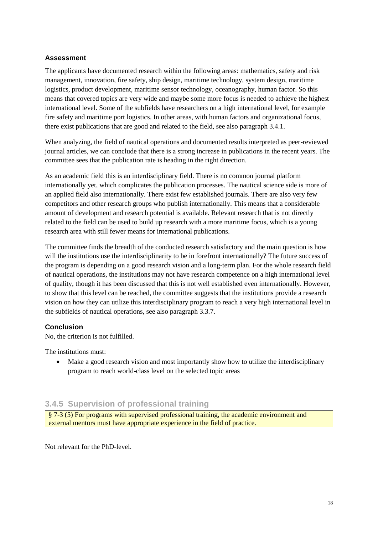### **Assessment**

The applicants have documented research within the following areas: mathematics, safety and risk management, innovation, fire safety, ship design, maritime technology, system design, maritime logistics, product development, maritime sensor technology, oceanography, human factor. So this means that covered topics are very wide and maybe some more focus is needed to achieve the highest international level. Some of the subfields have researchers on a high international level, for example fire safety and maritime port logistics. In other areas, with human factors and organizational focus, there exist publications that are good and related to the field, see also paragraph 3.4.1.

When analyzing, the field of nautical operations and documented results interpreted as peer-reviewed journal articles, we can conclude that there is a strong increase in publications in the recent years. The committee sees that the publication rate is heading in the right direction.

As an academic field this is an interdisciplinary field. There is no common journal platform internationally yet, which complicates the publication processes. The nautical science side is more of an applied field also internationally. There exist few established journals. There are also very few competitors and other research groups who publish internationally. This means that a considerable amount of development and research potential is available. Relevant research that is not directly related to the field can be used to build up research with a more maritime focus, which is a young research area with still fewer means for international publications.

The committee finds the breadth of the conducted research satisfactory and the main question is how will the institutions use the interdisciplinarity to be in forefront internationally? The future success of the program is depending on a good research vision and a long-term plan. For the whole research field of nautical operations, the institutions may not have research competence on a high international level of quality, though it has been discussed that this is not well established even internationally. However, to show that this level can be reached, the committee suggests that the institutions provide a research vision on how they can utilize this interdisciplinary program to reach a very high international level in the subfields of nautical operations, see also paragraph 3.3.7.

### **Conclusion**

No, the criterion is not fulfilled.

The institutions must:

• Make a good research vision and most importantly show how to utilize the interdisciplinary program to reach world-class level on the selected topic areas

### **3.4.5 Supervision of professional training**

§ 7-3 (5) For programs with supervised professional training, the academic environment and external mentors must have appropriate experience in the field of practice.

Not relevant for the PhD-level.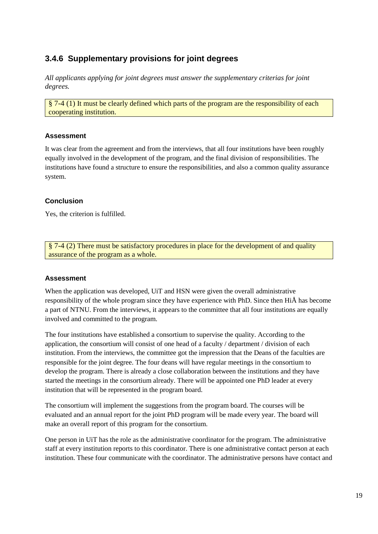### **3.4.6 Supplementary provisions for joint degrees**

*All applicants applying for joint degrees must answer the supplementary criterias for joint degrees.* 

§ 7-4 (1) It must be clearly defined which parts of the program are the responsibility of each cooperating institution.

### **Assessment**

It was clear from the agreement and from the interviews, that all four institutions have been roughly equally involved in the development of the program, and the final division of responsibilities. The institutions have found a structure to ensure the responsibilities, and also a common quality assurance system.

### **Conclusion**

Yes, the criterion is fulfilled.

§ 7-4 (2) There must be satisfactory procedures in place for the development of and quality assurance of the program as a whole.

### **Assessment**

When the application was developed, UiT and HSN were given the overall administrative responsibility of the whole program since they have experience with PhD. Since then HiÅ has become a part of NTNU. From the interviews, it appears to the committee that all four institutions are equally involved and committed to the program.

The four institutions have established a consortium to supervise the quality. According to the application, the consortium will consist of one head of a faculty / department / division of each institution. From the interviews, the committee got the impression that the Deans of the faculties are responsible for the joint degree. The four deans will have regular meetings in the consortium to develop the program. There is already a close collaboration between the institutions and they have started the meetings in the consortium already. There will be appointed one PhD leader at every institution that will be represented in the program board.

The consortium will implement the suggestions from the program board. The courses will be evaluated and an annual report for the joint PhD program will be made every year. The board will make an overall report of this program for the consortium.

One person in UiT has the role as the administrative coordinator for the program. The administrative staff at every institution reports to this coordinator. There is one administrative contact person at each institution. These four communicate with the coordinator. The administrative persons have contact and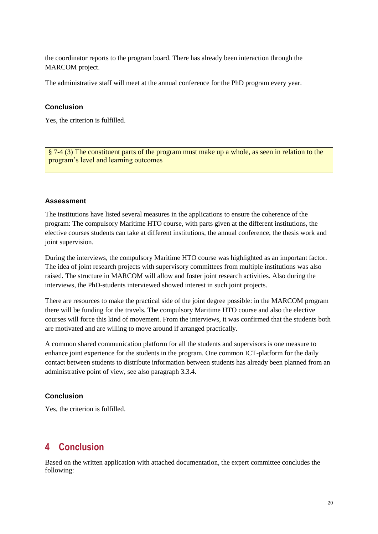the coordinator reports to the program board. There has already been interaction through the MARCOM project.

The administrative staff will meet at the annual conference for the PhD program every year.

#### **Conclusion**

Yes, the criterion is fulfilled.

§ 7-4 (3) The constituent parts of the program must make up a whole, as seen in relation to the program's level and learning outcomes

#### **Assessment**

The institutions have listed several measures in the applications to ensure the coherence of the program: The compulsory Maritime HTO course, with parts given at the different institutions, the elective courses students can take at different institutions, the annual conference, the thesis work and joint supervision.

During the interviews, the compulsory Maritime HTO course was highlighted as an important factor. The idea of joint research projects with supervisory committees from multiple institutions was also raised. The structure in MARCOM will allow and foster joint research activities. Also during the interviews, the PhD-students interviewed showed interest in such joint projects.

There are resources to make the practical side of the joint degree possible: in the MARCOM program there will be funding for the travels. The compulsory Maritime HTO course and also the elective courses will force this kind of movement. From the interviews, it was confirmed that the students both are motivated and are willing to move around if arranged practically.

A common shared communication platform for all the students and supervisors is one measure to enhance joint experience for the students in the program. One common ICT-platform for the daily contact between students to distribute information between students has already been planned from an administrative point of view, see also paragraph 3.3.4.

#### **Conclusion**

<span id="page-23-0"></span>Yes, the criterion is fulfilled.

# **4 Conclusion**

Based on the written application with attached documentation, the expert committee concludes the following: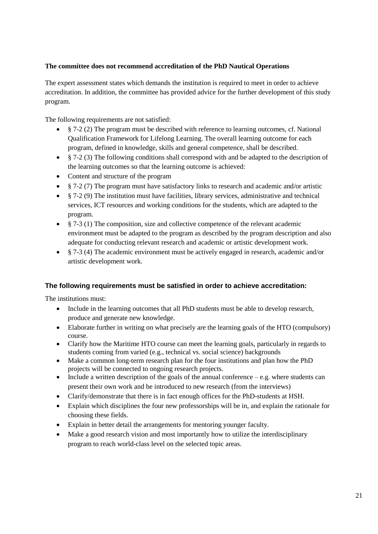### **The committee does not recommend accreditation of the PhD Nautical Operations**

The expert assessment states which demands the institution is required to meet in order to achieve accreditation. In addition, the committee has provided advice for the further development of this study program.

The following requirements are not satisfied:

- § 7-2 (2) The program must be described with reference to learning outcomes, cf. National Qualification Framework for Lifelong Learning. The overall learning outcome for each program, defined in knowledge, skills and general competence, shall be described.
- § 7-2 (3) The following conditions shall correspond with and be adapted to the description of the learning outcomes so that the learning outcome is achieved:
- Content and structure of the program
- $\frac{8}{7}$   $\frac{7}{2}$  (7) The program must have satisfactory links to research and academic and/or artistic
- $\frac{1}{2}$  7-2 (9) The institution must have facilities, library services, administrative and technical services, ICT resources and working conditions for the students, which are adapted to the program.
- $§$  7-3 (1) The composition, size and collective competence of the relevant academic environment must be adapted to the program as described by the program description and also adequate for conducting relevant research and academic or artistic development work.
- § 7-3 (4) The academic environment must be actively engaged in research, academic and/or artistic development work.

### **The following requirements must be satisfied in order to achieve accreditation:**

The institutions must:

- Include in the learning outcomes that all PhD students must be able to develop research, produce and generate new knowledge.
- Elaborate further in writing on what precisely are the learning goals of the HTO (compulsory) course.
- Clarify how the Maritime HTO course can meet the learning goals, particularly in regards to students coming from varied (e.g., technical vs. social science) backgrounds
- Make a common long-term research plan for the four institutions and plan how the PhD projects will be connected to ongoing research projects.
- Include a written description of the goals of the annual conference  $-e.g.$  where students can present their own work and be introduced to new research (from the interviews)
- Clarify/demonstrate that there is in fact enough offices for the PhD-students at HSH.
- Explain which disciplines the four new professorships will be in, and explain the rationale for choosing these fields.
- Explain in better detail the arrangements for mentoring younger faculty.
- Make a good research vision and most importantly how to utilize the interdisciplinary program to reach world-class level on the selected topic areas.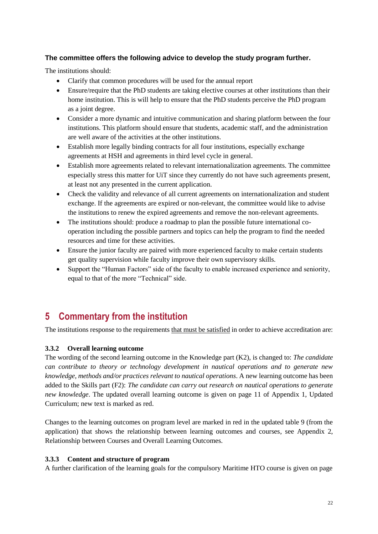### **The committee offers the following advice to develop the study program further.**

The institutions should:

- Clarify that common procedures will be used for the annual report
- Ensure/require that the PhD students are taking elective courses at other institutions than their home institution. This is will help to ensure that the PhD students perceive the PhD program as a joint degree.
- Consider a more dynamic and intuitive communication and sharing platform between the four institutions. This platform should ensure that students, academic staff, and the administration are well aware of the activities at the other institutions.
- Establish more legally binding contracts for all four institutions, especially exchange agreements at HSH and agreements in third level cycle in general.
- Establish more agreements related to relevant internationalization agreements. The committee especially stress this matter for UiT since they currently do not have such agreements present, at least not any presented in the current application.
- Check the validity and relevance of all current agreements on internationalization and student exchange. If the agreements are expired or non-relevant, the committee would like to advise the institutions to renew the expired agreements and remove the non-relevant agreements.
- The institutions should: produce a roadmap to plan the possible future international cooperation including the possible partners and topics can help the program to find the needed resources and time for these activities.
- Ensure the junior faculty are paired with more experienced faculty to make certain students get quality supervision while faculty improve their own supervisory skills.
- Support the "Human Factors" side of the faculty to enable increased experience and seniority, equal to that of the more "Technical" side.

# <span id="page-25-0"></span>**5 Commentary from the institution**

The institutions response to the requirements that must be satisfied in order to achieve accreditation are:

### <span id="page-25-1"></span>**3.3.2 Overall learning outcome**

The wording of the second learning outcome in the Knowledge part (K2), is changed to: *The candidate can contribute to theory or technology development in nautical operations and to generate new knowledge, methods and/or practices relevant to nautical operations*. A new learning outcome has been added to the Skills part (F2): *The candidate can carry out research on nautical operations to generate new knowledge*. The updated overall learning outcome is given on page 11 of Appendix 1, Updated Curriculum; new text is marked as red.

Changes to the learning outcomes on program level are marked in red in the updated table 9 (from the application) that shows the relationship between learning outcomes and courses, see Appendix 2, Relationship between Courses and Overall Learning Outcomes.

### <span id="page-25-2"></span>**3.3.3 Content and structure of program**

A further clarification of the learning goals for the compulsory Maritime HTO course is given on page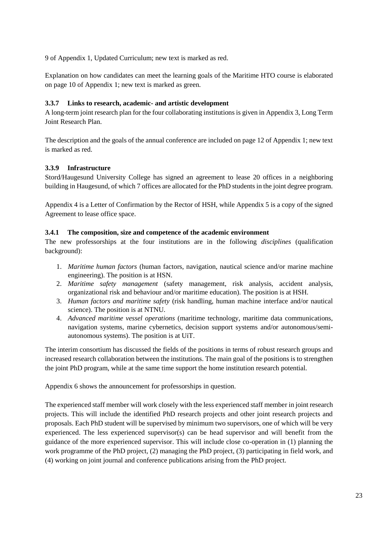9 of Appendix 1, Updated Curriculum; new text is marked as red.

Explanation on how candidates can meet the learning goals of the Maritime HTO course is elaborated on page 10 of Appendix 1; new text is marked as green.

### **3.3.7 Links to research, academic- and artistic development**

A long-term joint research plan for the four collaborating institutions is given in Appendix 3, Long Term Joint Research Plan.

The description and the goals of the annual conference are included on page 12 of Appendix 1; new text is marked as red.

### **3.3.9 Infrastructure**

Stord/Haugesund University College has signed an agreement to lease 20 offices in a neighboring building in Haugesund, of which 7 offices are allocated for the PhD students in the joint degree program.

Appendix 4 is a Letter of Confirmation by the Rector of HSH, while Appendix 5 is a copy of the signed Agreement to lease office space.

### <span id="page-26-0"></span>**3.4.1 The composition, size and competence of the academic environment**

The new professorships at the four institutions are in the following *disciplines* (qualification background):

- 1. *Maritime human factors* (human factors, navigation, nautical science and/or marine machine engineering). The position is at HSN.
- 2. *Maritime safety management* (safety management, risk analysis, accident analysis, organizational risk and behaviour and/or maritime education). The position is at HSH.
- 3. *Human factors and maritime safety* (risk handling, human machine interface and/or nautical science). The position is at NTNU.
- 4. *Advanced maritime vessel operations* (maritime technology, maritime data communications, navigation systems, marine cybernetics, decision support systems and/or autonomous/semiautonomous systems). The position is at UiT.

The interim consortium has discussed the fields of the positions in terms of robust research groups and increased research collaboration between the institutions. The main goal of the positions is to strengthen the joint PhD program, while at the same time support the home institution research potential.

Appendix 6 shows the announcement for professorships in question.

The experienced staff member will work closely with the less experienced staff member in joint research projects. This will include the identified PhD research projects and other joint research projects and proposals. Each PhD student will be supervised by minimum two supervisors, one of which will be very experienced. The less experienced supervisor(s) can be head supervisor and will benefit from the guidance of the more experienced supervisor. This will include close co-operation in (1) planning the work programme of the PhD project, (2) managing the PhD project, (3) participating in field work, and (4) working on joint journal and conference publications arising from the PhD project.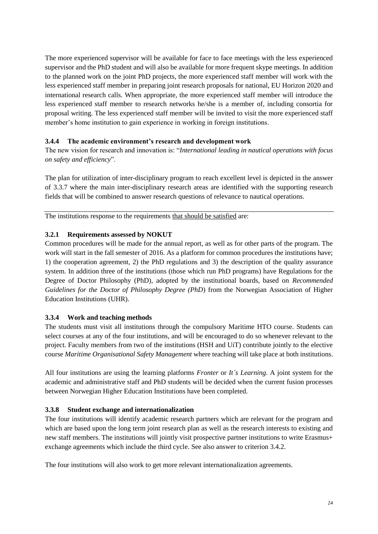The more experienced supervisor will be available for face to face meetings with the less experienced supervisor and the PhD student and will also be available for more frequent skype meetings. In addition to the planned work on the joint PhD projects, the more experienced staff member will work with the less experienced staff member in preparing joint research proposals for national, EU Horizon 2020 and international research calls. When appropriate, the more experienced staff member will introduce the less experienced staff member to research networks he/she is a member of, including consortia for proposal writing. The less experienced staff member will be invited to visit the more experienced staff member's home institution to gain experience in working in foreign institutions.

### <span id="page-27-0"></span>**3.4.4 The academic environment's research and development work**

The new vision for research and innovation is: "*International leading in nautical operations with focus on safety and efficiency*".

The plan for utilization of inter-disciplinary program to reach excellent level is depicted in the answer of 3.3.7 where the main inter-disciplinary research areas are identified with the supporting research fields that will be combined to answer research questions of relevance to nautical operations.

The institutions response to the requirements that should be satisfied are:

### <span id="page-27-1"></span>**3.2.1 Requirements assessed by NOKUT**

Common procedures will be made for the annual report, as well as for other parts of the program. The work will start in the fall semester of 2016. As a platform for common procedures the institutions have; 1) the cooperation agreement, 2) the PhD regulations and 3) the description of the quality assurance system. In addition three of the institutions (those which run PhD programs) have Regulations for the Degree of Doctor Philosophy (PhD), adopted by the institutional boards, based on *Recommended Guidelines for the Doctor of Philosophy Degree (PhD*) from the Norwegian Association of Higher Education Institutions (UHR).

### **3.3.4 Work and teaching methods**

The students must visit all institutions through the compulsory Maritime HTO course. Students can select courses at any of the four institutions, and will be encouraged to do so whenever relevant to the project. Faculty members from two of the institutions (HSH and UiT) contribute jointly to the elective course *Maritime Organisational Safety Management* where teaching will take place at both institutions.

All four institutions are using the learning platforms *Fronter* or *It´s Learning*. A joint system for the academic and administrative staff and PhD students will be decided when the current fusion processes between Norwegian Higher Education Institutions have been completed.

### **3.3.8 Student exchange and internationalization**

The four institutions will identify academic research partners which are relevant for the program and which are based upon the long term joint research plan as well as the research interests to existing and new staff members. The institutions will jointly visit prospective partner institutions to write Erasmus+ exchange agreements which include the third cycle. See also answer to criterion 3.4.2.

The four institutions will also work to get more relevant internationalization agreements.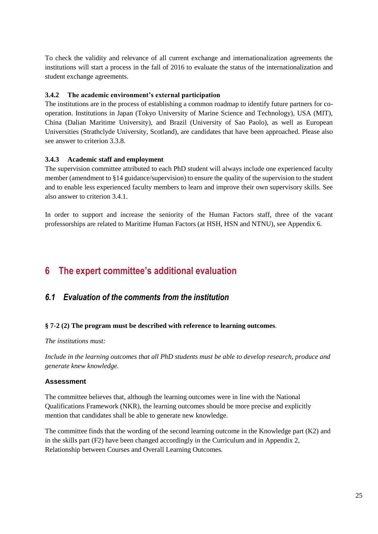To check the validity and relevance of all current exchange and internationalization agreements the institutions will start a process in the fall of 2016 to evaluate the status of the internationalization and student exchange agreements.

### <span id="page-28-0"></span>**3.4.2 The academic environment's external participation**

The institutions are in the process of establishing a common roadmap to identify future partners for cooperation. Institutions in Japan (Tokyo University of Marine Science and Technology), USA (MIT), China (Dalian Maritime University), and Brazil (University of Sao Paolo), as well as European Universities (Strathclyde University, Scotland), are candidates that have been approached. Please also see answer to criterion 3.3.8.

#### <span id="page-28-1"></span>**3.4.3 Academic staff and employment**

The supervision committee attributed to each PhD student will always include one experienced faculty member (amendment to §14 guidance/supervision) to ensure the quality of the supervision to the student and to enable less experienced faculty members to learn and improve their own supervisory skills. See also answer to criterion 3.4.1.

In order to support and increase the seniority of the Human Factors staff, three of the vacant professorships are related to Maritime Human Factors (at HSH, HSN and NTNU), see Appendix 6.

## <span id="page-28-2"></span>**6 The expert committee's additional evaluation**

### <span id="page-28-3"></span>*6.1 Evaluation of the comments from the institution*

#### **§ 7-2 (2) The program must be described with reference to learning outcomes**.

*The institutions must:*

*Include in the learning outcomes that all PhD students must be able to develop research, produce and generate knew knowledge.*

#### **Assessment**

The committee believes that, although the learning outcomes were in line with the National Qualifications Framework (NKR), the learning outcomes should be more precise and explicitly mention that candidates shall be able to generate new knowledge.

The committee finds that the wording of the second learning outcome in the Knowledge part (K2) and in the skills part (F2) have been changed accordingly in the Curriculum and in Appendix 2, Relationship between Courses and Overall Learning Outcomes.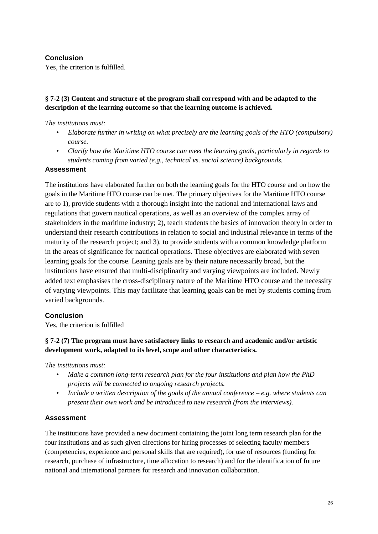### **Conclusion**

Yes, the criterion is fulfilled.

### **§ 7-2 (3) Content and structure of the program shall correspond with and be adapted to the description of the learning outcome so that the learning outcome is achieved.**

### *The institutions must:*

- *Elaborate further in writing on what precisely are the learning goals of the HTO (compulsory) course.*
- *Clarify how the Maritime HTO course can meet the learning goals, particularly in regards to students coming from varied (e.g., technical vs. social science) backgrounds.*

### **Assessment**

The institutions have elaborated further on both the learning goals for the HTO course and on how the goals in the Maritime HTO course can be met. The primary objectives for the Maritime HTO course are to 1), provide students with a thorough insight into the national and international laws and regulations that govern nautical operations, as well as an overview of the complex array of stakeholders in the maritime industry; 2), teach students the basics of innovation theory in order to understand their research contributions in relation to social and industrial relevance in terms of the maturity of the research project; and 3), to provide students with a common knowledge platform in the areas of significance for nautical operations. These objectives are elaborated with seven learning goals for the course. Leaning goals are by their nature necessarily broad, but the institutions have ensured that multi-disciplinarity and varying viewpoints are included. Newly added text emphasises the cross-disciplinary nature of the Maritime HTO course and the necessity of varying viewpoints. This may facilitate that learning goals can be met by students coming from varied backgrounds.

### **Conclusion**

Yes, the criterion is fulfilled

### **§ 7-2 (7) The program must have satisfactory links to research and academic and/or artistic development work, adapted to its level, scope and other characteristics.**

*The institutions must:*

- *Make a common long-term research plan for the four institutions and plan how the PhD projects will be connected to ongoing research projects.*
- *Include a written description of the goals of the annual conference – e.g. where students can present their own work and be introduced to new research (from the interviews).*

### **Assessment**

The institutions have provided a new document containing the joint long term research plan for the four institutions and as such given directions for hiring processes of selecting faculty members (competencies, experience and personal skills that are required), for use of resources (funding for research, purchase of infrastructure, time allocation to research) and for the identification of future national and international partners for research and innovation collaboration.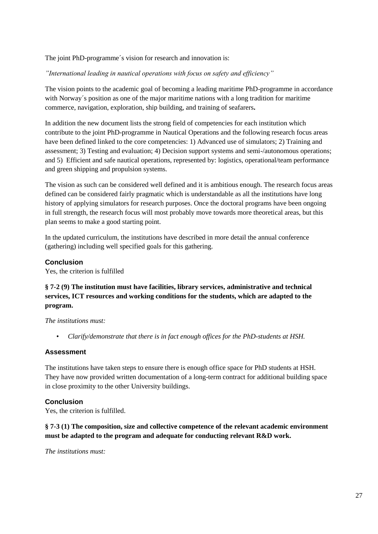The joint PhD-programme´s vision for research and innovation is:

### *"International leading in nautical operations with focus on safety and efficiency"*

The vision points to the academic goal of becoming a leading maritime PhD-programme in accordance with Norway´s position as one of the major maritime nations with a long tradition for maritime commerce, navigation, exploration, ship building, and training of seafarers**.**

In addition the new document lists the strong field of competencies for each institution which contribute to the joint PhD-programme in Nautical Operations and the following research focus areas have been defined linked to the core competencies: 1) Advanced use of simulators; 2) Training and assessment; 3) Testing and evaluation; 4) Decision support systems and semi-/autonomous operations; and 5) Efficient and safe nautical operations, represented by: logistics, operational/team performance and green shipping and propulsion systems.

The vision as such can be considered well defined and it is ambitious enough. The research focus areas defined can be considered fairly pragmatic which is understandable as all the institutions have long history of applying simulators for research purposes. Once the doctoral programs have been ongoing in full strength, the research focus will most probably move towards more theoretical areas, but this plan seems to make a good starting point.

In the updated curriculum, the institutions have described in more detail the annual conference (gathering) including well specified goals for this gathering.

### **Conclusion**

Yes, the criterion is fulfilled

### **§ 7-2 (9) The institution must have facilities, library services, administrative and technical services, ICT resources and working conditions for the students, which are adapted to the program.**

*The institutions must:*

• *Clarify/demonstrate that there is in fact enough offices for the PhD-students at HSH.*

### **Assessment**

The institutions have taken steps to ensure there is enough office space for PhD students at HSH. They have now provided written documentation of a long-term contract for additional building space in close proximity to the other University buildings.

### **Conclusion**

Yes, the criterion is fulfilled.

### **§ 7-3 (1) The composition, size and collective competence of the relevant academic environment must be adapted to the program and adequate for conducting relevant R&D work.**

*The institutions must:*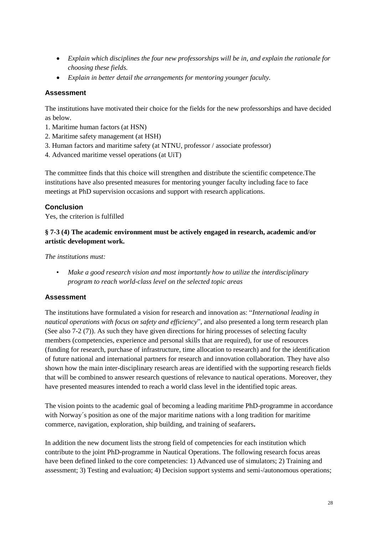- *Explain which disciplines the four new professorships will be in, and explain the rationale for choosing these fields.*
- *Explain in better detail the arrangements for mentoring younger faculty.*

### **Assessment**

The institutions have motivated their choice for the fields for the new professorships and have decided as below.

- 1. Maritime human factors (at HSN)
- 2. Maritime safety management (at HSH)
- 3. Human factors and maritime safety (at NTNU, professor / associate professor)
- 4. Advanced maritime vessel operations (at UiT)

The committee finds that this choice will strengthen and distribute the scientific competence.The institutions have also presented measures for mentoring younger faculty including face to face meetings at PhD supervision occasions and support with research applications.

### **Conclusion**

Yes, the criterion is fulfilled

### **§ 7-3 (4) The academic environment must be actively engaged in research, academic and/or artistic development work.**

*The institutions must:* 

• *Make a good research vision and most importantly how to utilize the interdisciplinary program to reach world-class level on the selected topic areas*

### **Assessment**

The institutions have formulated a vision for research and innovation as: "*International leading in nautical operations with focus on safety and efficiency*", and also presented a long term research plan (See also 7-2 (7)). As such they have given directions for hiring processes of selecting faculty members (competencies, experience and personal skills that are required), for use of resources (funding for research, purchase of infrastructure, time allocation to research) and for the identification of future national and international partners for research and innovation collaboration. They have also shown how the main inter-disciplinary research areas are identified with the supporting research fields that will be combined to answer research questions of relevance to nautical operations. Moreover, they have presented measures intended to reach a world class level in the identified topic areas.

The vision points to the academic goal of becoming a leading maritime PhD-programme in accordance with Norway´s position as one of the major maritime nations with a long tradition for maritime commerce, navigation, exploration, ship building, and training of seafarers**.**

In addition the new document lists the strong field of competencies for each institution which contribute to the joint PhD-programme in Nautical Operations. The following research focus areas have been defined linked to the core competencies: 1) Advanced use of simulators; 2) Training and assessment; 3) Testing and evaluation; 4) Decision support systems and semi-/autonomous operations;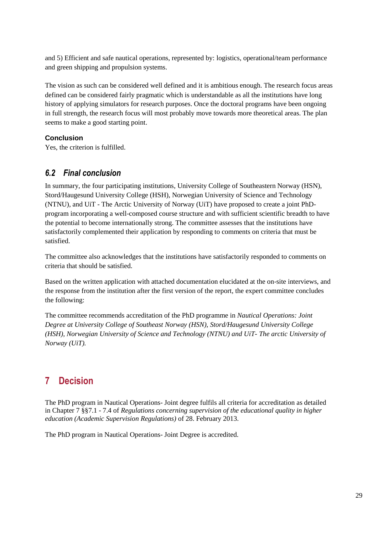and 5) Efficient and safe nautical operations, represented by: logistics, operational/team performance and green shipping and propulsion systems.

The vision as such can be considered well defined and it is ambitious enough. The research focus areas defined can be considered fairly pragmatic which is understandable as all the institutions have long history of applying simulators for research purposes. Once the doctoral programs have been ongoing in full strength, the research focus will most probably move towards more theoretical areas. The plan seems to make a good starting point.

### **Conclusion**

Yes, the criterion is fulfilled.

### <span id="page-32-0"></span>*6.2 Final conclusion*

In summary, the four participating institutions, University College of Southeastern Norway (HSN), Stord/Haugesund University College (HSH), Norwegian University of Science and Technology (NTNU), and UiT - The Arctic University of Norway (UiT) have proposed to create a joint PhDprogram incorporating a well-composed course structure and with sufficient scientific breadth to have the potential to become internationally strong. The committee assesses that the institutions have satisfactorily complemented their application by responding to comments on criteria that must be satisfied.

The committee also acknowledges that the institutions have satisfactorily responded to comments on criteria that should be satisfied.

Based on the written application with attached documentation elucidated at the on-site interviews, and the response from the institution after the first version of the report, the expert committee concludes the following:

The committee recommends accreditation of the PhD programme in *Nautical Operations: Joint Degree at University College of Southeast Norway (HSN), Stord/Haugesund University College (HSH), Norwegian University of Science and Technology (NTNU) and UiT- The arctic University of Norway (UiT).*

# <span id="page-32-1"></span>**7 Decision**

The PhD program in Nautical Operations- Joint degree fulfils all criteria for accreditation as detailed in Chapter 7 §§7.1 - 7.4 of *Regulations concerning supervision of the educational quality in higher education (Academic Supervision Regulations)* of 28. February 2013.

The PhD program in Nautical Operations- Joint Degree is accredited.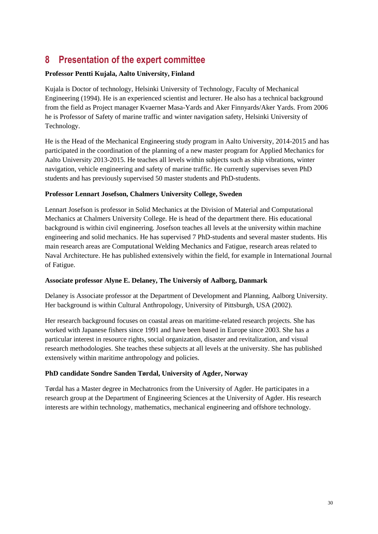# <span id="page-33-0"></span>**8 Presentation of the expert committee**

### **Professor Pentti Kujala, Aalto University, Finland**

Kujala is Doctor of technology, Helsinki University of Technology, Faculty of Mechanical Engineering (1994). He is an experienced scientist and lecturer. He also has a technical background from the field as Project manager Kvaerner Masa-Yards and Aker Finnyards/Aker Yards. From 2006 he is Professor of Safety of marine traffic and winter navigation safety, Helsinki University of Technology.

He is the Head of the Mechanical Engineering study program in Aalto University, 2014-2015 and has participated in the coordination of the planning of a new master program for Applied Mechanics for Aalto University 2013-2015. He teaches all levels within subjects such as ship vibrations, winter navigation, vehicle engineering and safety of marine traffic. He currently supervises seven PhD students and has previously supervised 50 master students and PhD-students.

### **Professor Lennart Josefson, Chalmers University College, Sweden**

Lennart Josefson is professor in Solid Mechanics at the Division of Material and Computational Mechanics at Chalmers University College. He is head of the department there. His educational background is within civil engineering. Josefson teaches all levels at the university within machine engineering and solid mechanics. He has supervised 7 PhD-students and several master students. His main research areas are Computational Welding Mechanics and Fatigue, research areas related to Naval Architecture. He has published extensively within the field, for example in International Journal of Fatigue.

### **Associate professor Alyne E. Delaney, The Universiy of Aalborg, Danmark**

Delaney is Associate professor at the Department of Development and Planning, Aalborg University. Her background is within Cultural Anthropology, University of Pittsburgh, USA (2002).

Her research background focuses on coastal areas on maritime-related research projects. She has worked with Japanese fishers since 1991 and have been based in Europe since 2003. She has a particular interest in resource rights, social organization, disaster and revitalization, and visual research methodologies. She teaches these subjects at all levels at the university. She has published extensively within maritime anthropology and policies.

### **PhD candidate Sondre Sanden Tørdal, University of Agder, Norway**

Tørdal has a Master degree in Mechatronics from the University of Agder. He participates in a research group at the Department of Engineering Sciences at the University of Agder. His research interests are within technology, mathematics, mechanical engineering and offshore technology.